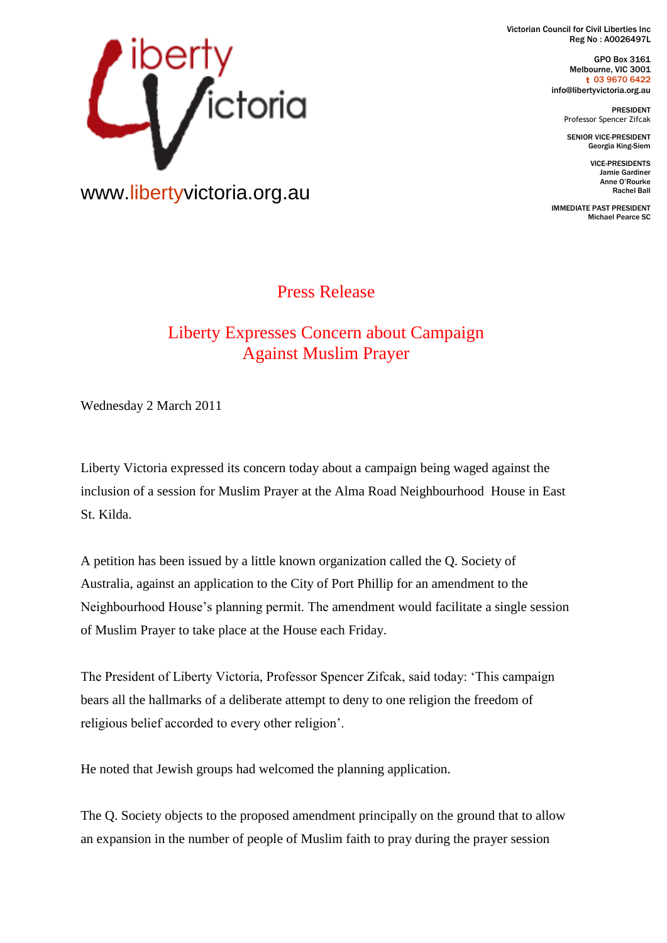Victorian Council for Civil Liberties Inc Reg No : A0026497L

> GPO Box 3161 Melbourne, VIC 3001 t 03 9670 6422 info@libertyvictoria.org.au

> > PRESIDENT Professor Spencer Zifcak

SENIOR VICE-PRESIDENT Georgia King-Siem

> VICE-PRESIDENTS Jamie Gardiner Anne O'Rourke Rachel Ball

IMMEDIATE PAST PRESIDENT Michael Pearce SC



www.libertyvictoria.org.au

## Press Release

## Liberty Expresses Concern about Campaign Against Muslim Prayer

Wednesday 2 March 2011

Liberty Victoria expressed its concern today about a campaign being waged against the inclusion of a session for Muslim Prayer at the Alma Road Neighbourhood House in East St. Kilda.

A petition has been issued by a little known organization called the Q. Society of Australia, against an application to the City of Port Phillip for an amendment to the Neighbourhood House's planning permit. The amendment would facilitate a single session of Muslim Prayer to take place at the House each Friday.

The President of Liberty Victoria, Professor Spencer Zifcak, said today: 'This campaign bears all the hallmarks of a deliberate attempt to deny to one religion the freedom of religious belief accorded to every other religion'.

He noted that Jewish groups had welcomed the planning application.

The Q. Society objects to the proposed amendment principally on the ground that to allow an expansion in the number of people of Muslim faith to pray during the prayer session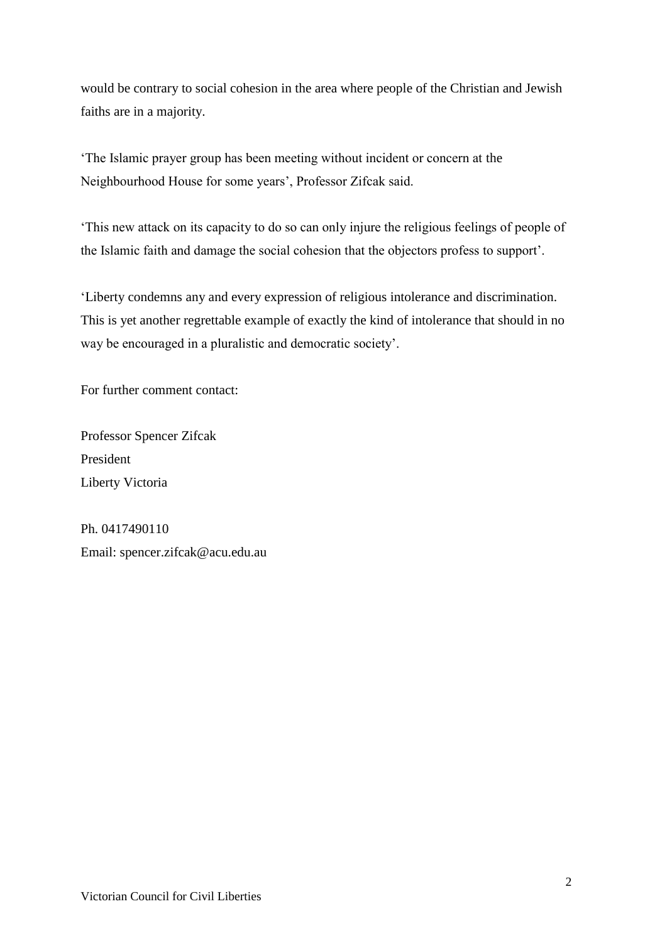would be contrary to social cohesion in the area where people of the Christian and Jewish faiths are in a majority.

'The Islamic prayer group has been meeting without incident or concern at the Neighbourhood House for some years', Professor Zifcak said.

'This new attack on its capacity to do so can only injure the religious feelings of people of the Islamic faith and damage the social cohesion that the objectors profess to support'.

'Liberty condemns any and every expression of religious intolerance and discrimination. This is yet another regrettable example of exactly the kind of intolerance that should in no way be encouraged in a pluralistic and democratic society'.

For further comment contact:

Professor Spencer Zifcak President Liberty Victoria

Ph. 0417490110 Email: spencer.zifcak@acu.edu.au